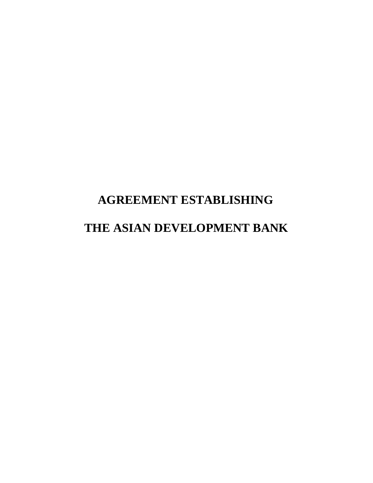# **AGREEMENT ESTABLISHING**

## **THE ASIAN DEVELOPMENT BANK**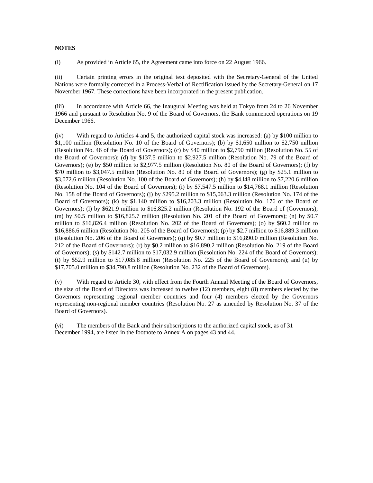## **NOTES**

(i) As provided in Article 65, the Agreement came into force on 22 August 1966.

(ii) Certain printing errors in the original text deposited with the Secretary-General of the United Nations were formally corrected in a Process-Verbal of Rectification issued by the Secretary-General on 17 November 1967. These corrections have been incorporated in the present publication.

(iii) In accordance with Article 66, the Inaugural Meeting was held at Tokyo from 24 to 26 November 1966 and pursuant to Resolution No. 9 of the Board of Governors, the Bank commenced operations on 19 December 1966.

(iv) With regard to Articles 4 and 5, the authorized capital stock was increased: (a) by \$100 million to \$1,100 million (Resolution No. 10 of the Board of Governors); (b) by \$1,650 million to \$2,750 million (Resolution No. 46 of the Board of Governors); (c) by \$40 million to \$2,790 million (Resolution No. 55 of the Board of Governors); (d) by \$137.5 million to \$2,927.5 million (Resolution No. 79 of the Board of Governors); (e) by \$50 million to \$2,977.5 million (Resolution No. 80 of the Board of Governors); (f) by \$70 million to \$3,047.5 million (Resolution No. 89 of the Board of Governors); (g) by \$25.1 million to \$3,072.6 million (Resolution No. 100 of the Board of Governors); (h) by \$4,l48 million to \$7,220.6 million (Resolution No. 104 of the Board of Governors); (i) by \$7,547.5 million to \$14,768.1 million (Resolution No. 158 of the Board of Governors); (j) by \$295.2 million to \$15,063.3 million (Resolution No. 174 of the Board of Governors); (k) by \$1,140 million to \$16,203.3 million (Resolution No. 176 of the Board of Governors); (1) by \$621.9 million to \$16,825.2 million (Resolution No. 192 of the Board of (Governors); (m) by \$0.5 million to \$16,825.7 million (Resolution No. 201 of the Board of Governors); (n) by \$0.7 million to \$16,826.4 million (Resolution No. 202 of the Board of Governors); (o) by \$60.2 million to \$16,886.6 million (Resolution No. 205 of the Board of Governors); (p) by \$2.7 million to \$16,889.3 million (Resolution No. 206 of the Board of Governors); (q) by \$0.7 million to \$16,890.0 million (Resolution No. 212 of the Board of Governors); (r) by \$0.2 million to \$16,890.2 million (Resolution No. 219 of the Board of Governors); (s) by \$142.7 million to \$17,032.9 million (Resolution No. 224 of the Board of Governors); (t) by \$52.9 million to \$17,085.8 million (Resolution No. 225 of the Board of Governors); and (u) by \$17,705.0 million to \$34,790.8 million (Resolution No. 232 of the Board of Governors).

(v) With regard to Article 30, with effect from the Fourth Annual Meeting of the Board of Governors, the size of the Board of Directors was increased to twelve (12) members, eight (8) members elected by the Governors representing regional member countries and four (4) members elected by the Governors representing non-regional member countries (Resolution No. 27 as amended by Resolution No. 37 of the Board of Governors).

(vi) The members of the Bank and their subscriptions to the authorized capital stock, as of 31 December 1994, are listed in the footnote to Annex A on pages 43 and 44.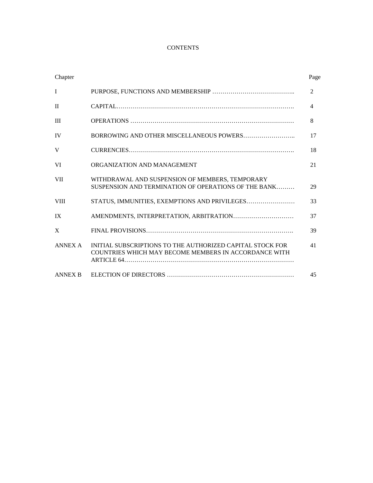## **CONTENTS**

| Chapter        |                                                                                                                    | Page                     |
|----------------|--------------------------------------------------------------------------------------------------------------------|--------------------------|
| $\bf{I}$       |                                                                                                                    | $\mathfrak{D}$           |
| $\mathbf{H}$   |                                                                                                                    | $\overline{\mathcal{A}}$ |
| Ш              |                                                                                                                    | 8                        |
| IV             |                                                                                                                    | 17                       |
| V              |                                                                                                                    | 18                       |
| VI             | ORGANIZATION AND MANAGEMENT                                                                                        | 21                       |
| <b>VII</b>     | WITHDRAWAL AND SUSPENSION OF MEMBERS, TEMPORARY<br>SUSPENSION AND TERMINATION OF OPERATIONS OF THE BANK            | 29                       |
| <b>VIII</b>    | STATUS, IMMUNITIES, EXEMPTIONS AND PRIVILEGES                                                                      | 33                       |
| IX             |                                                                                                                    | 37                       |
| X              |                                                                                                                    | 39                       |
| <b>ANNEX A</b> | INITIAL SUBSCRIPTIONS TO THE AUTHORIZED CAPITAL STOCK FOR<br>COUNTRIES WHICH MAY BECOME MEMBERS IN ACCORDANCE WITH | 41                       |
| <b>ANNEX B</b> |                                                                                                                    | 45                       |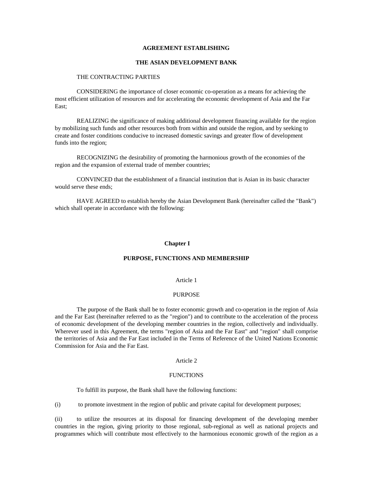## **AGREEMENT ESTABLISHING**

#### **THE ASIAN DEVELOPMENT BANK**

## THE CONTRACTING PARTIES

 CONSIDERING the importance of closer economic co-operation as a means for achieving the most efficient utilization of resources and for accelerating the economic development of Asia and the Far East;

 REALIZING the significance of making additional development financing available for the region by mobilizing such funds and other resources both from within and outside the region, and by seeking to create and foster conditions conducive to increased domestic savings and greater flow of development funds into the region;

 RECOGNIZING the desirability of promoting the harmonious growth of the economies of the region and the expansion of external trade of member countries;

 CONVINCED that the establishment of a financial institution that is Asian in its basic character would serve these ends;

 HAVE AGREED to establish hereby the Asian Development Bank (hereinafter called the "Bank") which shall operate in accordance with the following:

#### **Chapter I**

## **PURPOSE, FUNCTIONS AND MEMBERSHIP**

#### Article 1

## PURPOSE

 The purpose of the Bank shall be to foster economic growth and co-operation in the region of Asia and the Far East (hereinafter referred to as the "region") and to contribute to the acceleration of the process of economic development of the developing member countries in the region, collectively and individually. Wherever used in this Agreement, the terms "region of Asia and the Far East" and "region" shall comprise the territories of Asia and the Far East included in the Terms of Reference of the United Nations Economic Commission for Asia and the Far East.

#### Article 2

## **FUNCTIONS**

To fulfill its purpose, the Bank shall have the following functions:

(i) to promote investment in the region of public and private capital for development purposes;

(ii) to utilize the resources at its disposal for financing development of the developing member countries in the region, giving priority to those regional, sub-regional as well as national projects and programmes which will contribute most effectively to the harmonious economic growth of the region as a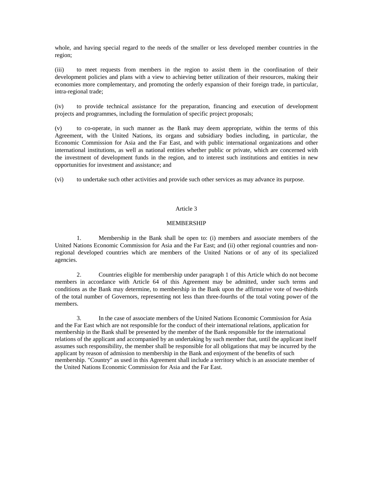whole, and having special regard to the needs of the smaller or less developed member countries in the region;

(iii) to meet requests from members in the region to assist them in the coordination of their development policies and plans with a view to achieving better utilization of their resources, making their economies more complementary, and promoting the orderly expansion of their foreign trade, in particular, intra-regional trade;

(iv) to provide technical assistance for the preparation, financing and execution of development projects and programmes, including the formulation of specific project proposals;

(v) to co-operate, in such manner as the Bank may deem appropriate, within the terms of this Agreement, with the United Nations, its organs and subsidiary bodies including, in particular, the Economic Commission for Asia and the Far East, and with public international organizations and other international institutions, as well as national entities whether public or private, which are concerned with the investment of development funds in the region, and to interest such institutions and entities in new opportunities for investment and assistance; and

(vi) to undertake such other activities and provide such other services as may advance its purpose.

## Article 3

#### MEMBERSHIP

 1. Membership in the Bank shall be open to: (i) members and associate members of the United Nations Economic Commission for Asia and the Far East; and (ii) other regional countries and nonregional developed countries which are members of the United Nations or of any of its specialized agencies.

 2. Countries eligible for membership under paragraph 1 of this Article which do not become members in accordance with Article 64 of this Agreement may be admitted, under such terms and conditions as the Bank may determine, to membership in the Bank upon the affirmative vote of two-thirds of the total number of Governors, representing not less than three-fourths of the total voting power of the members.

 3. In the case of associate members of the United Nations Economic Commission for Asia and the Far East which are not responsible for the conduct of their international relations, application for membership in the Bank shall be presented by the member of the Bank responsible for the international relations of the applicant and accompanied by an undertaking by such member that, until the applicant itself assumes such responsibility, the member shall be responsible for all obligations that may be incurred by the applicant by reason of admission to membership in the Bank and enjoyment of the benefits of such membership. "Country" as used in this Agreement shall include a territory which is an associate member of the United Nations Economic Commission for Asia and the Far East.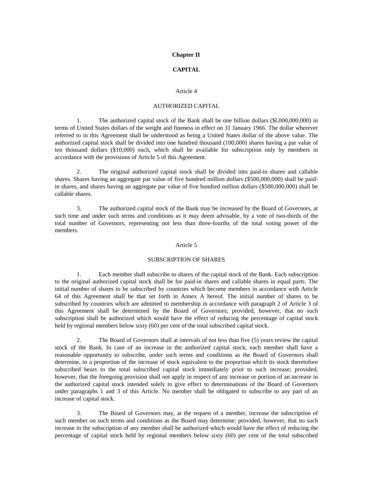## **Chapter II**

## **CAPITAL**

#### Article 4

#### AUTHORIZED CAPITAL

 1. The authorized capital stock of the Bank shall be one billion dollars (\$l,000,000,000) in terms of United States dollars of the weight and fineness in effect on 31 January 1966. The dollar wherever referred to in this Agreement shall be understood as being a United States dollar of the above value. The authorized capital stock shall be divided into one hundred thousand (100,000) shares having a par value of ten thousand dollars (\$10,000) each, which shall be available for subscription only by members in accordance with the provisions of Article 5 of this Agreement.

 2. The original authorized capital stock shall be divided into paid-in shares and callable shares. Shares having an aggregate par value of five hundred million dollars (\$500,000,000) shall be paidin shares, and shares having an aggregate par value of five hundred million dollars (\$500,000,000) shall be callable shares.

 3. The authorized capital stock of the Bank may be increased by the Board of Governors, at such time and under such terms and conditions as it may deem advisable, by a vote of two-thirds of the total number of Governors, representing not less than three-fourths of the total voting power of the members.

#### Article 5

#### SUBSCRIPTION OF SHARES

 1. Each member shall subscribe to shares of the capital stock of the Bank. Each subscription to the original authorized capital stock shall be for paid-in shares and callable shares in equal parts. The initial number of shares to be subscribed by countries which become members in accordance with Article 64 of this Agreement shall be that set forth in Annex A hereof. The initial number of shares to be subscribed by countries which are admitted to membership in accordance with paragraph 2 of Article 3 of this Agreement shall be determined by the Board of Governors; provided, however, that no such subscription shall be authorized which would have the effect of reducing the percentage of capital stock held by regional members below sixty (60) per cent of the total subscribed capital stock.

 2. The Board of Governors shall at intervals of not less than five (5) years review the capital stock of the Bank. In case of an increase in the authorized capital stock, each member shall have a reasonable opportunity to subscribe, under such terms and conditions as the Board of Governors shall determine, to a proportion of the increase of stock equivalent to the proportion which its stock theretofore subscribed bears to the total subscribed capital stock immediately prior to such increase; provided, however, that the foregoing provision shall not apply in respect of any increase or portion of an increase in the authorized capital stock intended solely to give effect to determinations of the Board of Governors under paragraphs 1 and 3 of this Article. No member shall be obligated to subscribe to any part of an increase of capital stock.

 3. The Board of Governors may, at the request of a member, increase the subscription of such member on such terms and conditions as the Board may determine; provided, however, that no such increase in the subscription of any member shall be authorized which would have the effect of reducing the percentage of capital stock held by regional members below sixty (60) per cent of the total subscribed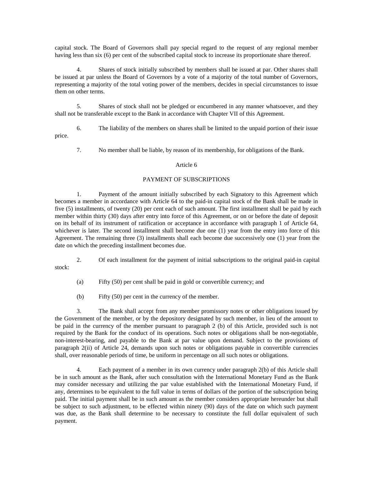capital stock. The Board of Governors shall pay special regard to the request of any regional member having less than six (6) per cent of the subscribed capital stock to increase its proportionate share thereof.

 4. Shares of stock initially subscribed by members shall be issued at par. Other shares shall be issued at par unless the Board of Governors by a vote of a majority of the total number of Governors, representing a majority of the total voting power of the members, decides in special circumstances to issue them on other terms.

 5. Shares of stock shall not be pledged or encumbered in any manner whatsoever, and they shall not be transferable except to the Bank in accordance with Chapter VII of this Agreement.

 6. The liability of the members on shares shall be limited to the unpaid portion of their issue price.

7. No member shall be liable, by reason of its membership, for obligations of the Bank.

## Article 6

## PAYMENT OF SUBSCRIPTIONS

 1. Payment of the amount initially subscribed by each Signatory to this Agreement which becomes a member in accordance with Article 64 to the paid-in capital stock of the Bank shall be made in five (5) installments, of twenty (20) per cent each of such amount. The first installment shall be paid by each member within thirty (30) days after entry into force of this Agreement, or on or before the date of deposit on its behalf of its instrument of ratification or acceptance in accordance with paragraph 1 of Article 64, whichever is later. The second installment shall become due one (1) year from the entry into force of this Agreement. The remaining three (3) installments shall each become due successively one (1) year from the date on which the preceding installment becomes due.

 2. Of each installment for the payment of initial subscriptions to the original paid-in capital stock:

(a) Fifty (50) per cent shall be paid in gold or convertible currency; and

(b) Fifty (50) per cent in the currency of the member.

 3. The Bank shall accept from any member promissory notes or other obligations issued by the Government of the member, or by the depository designated by such member, in lieu of the amount to be paid in the currency of the member pursuant to paragraph 2 (b) of this Article, provided such is not required by the Bank for the conduct of its operations. Such notes or obligations shall be non-negotiable, non-interest-bearing, and payable to the Bank at par value upon demand. Subject to the provisions of paragraph 2(ii) of Article 24, demands upon such notes or obligations payable in convertible currencies shall, over reasonable periods of time, be uniform in percentage on all such notes or obligations.

 4. Each payment of a member in its own currency under paragraph 2(b) of this Article shall be in such amount as the Bank, after such consultation with the International Monetary Fund as the Bank may consider necessary and utilizing the par value established with the International Monetary Fund, if any, determines to be equivalent to the full value in terms of dollars of the portion of the subscription being paid. The initial payment shall be in such amount as the member considers appropriate hereunder but shall be subject to such adjustment, to be effected within ninety (90) days of the date on which such payment was due, as the Bank shall determine to be necessary to constitute the full dollar equivalent of such payment.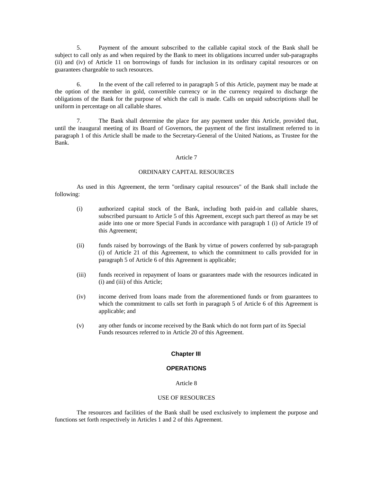5. Payment of the amount subscribed to the callable capital stock of the Bank shall be subject to call only as and when required by the Bank to meet its obligations incurred under sub-paragraphs (ii) and (iv) of Article 11 on borrowings of funds for inclusion in its ordinary capital resources or on guarantees chargeable to such resources.

 6. In the event of the call referred to in paragraph 5 of this Article, payment may be made at the option of the member in gold, convertible currency or in the currency required to discharge the obligations of the Bank for the purpose of which the call is made. Calls on unpaid subscriptions shall be uniform in percentage on all callable shares.

 7. The Bank shall determine the place for any payment under this Article, provided that, until the inaugural meeting of its Board of Governors, the payment of the first installment referred to in paragraph 1 of this Article shall be made to the Secretary-General of the United Nations, as Trustee for the Bank.

## Article 7

## ORDINARY CAPITAL RESOURCES

 As used in this Agreement, the term "ordinary capital resources" of the Bank shall include the following:

- (i) authorized capital stock of the Bank, including both paid-in and callable shares, subscribed pursuant to Article 5 of this Agreement, except such part thereof as may be set aside into one or more Special Funds in accordance with paragraph 1 (i) of Article 19 of this Agreement;
- (ii) funds raised by borrowings of the Bank by virtue of powers conferred by sub-paragraph (i) of Article 21 of this Agreement, to which the commitment to calls provided for in paragraph 5 of Article 6 of this Agreement is applicable;
- (iii) funds received in repayment of loans or guarantees made with the resources indicated in (i) and (iii) of this Article;
- (iv) income derived from loans made from the aforementioned funds or from guarantees to which the commitment to calls set forth in paragraph 5 of Article 6 of this Agreement is applicable; and
- (v) any other funds or income received by the Bank which do not form part of its Special Funds resources referred to in Article 20 of this Agreement.

## **Chapter III**

#### **OPERATIONS**

#### Article 8

#### USE OF RESOURCES

 The resources and facilities of the Bank shall be used exclusively to implement the purpose and functions set forth respectively in Articles 1 and 2 of this Agreement.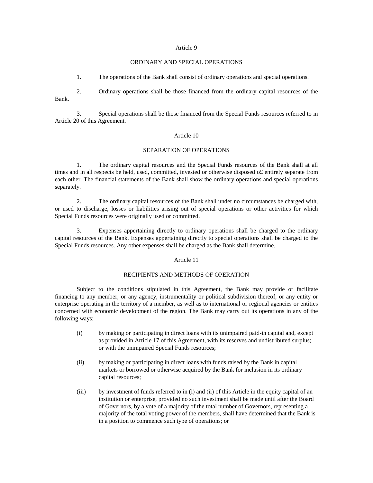#### ORDINARY AND SPECIAL OPERATIONS

1. The operations of the Bank shall consist of ordinary operations and special operations.

 2. Ordinary operations shall be those financed from the ordinary capital resources of the Bank.

 3. Special operations shall be those financed from the Special Funds resources referred to in Article 20 of this Agreement.

## Article 10

## SEPARATION OF OPERATIONS

 1. The ordinary capital resources and the Special Funds resources of the Bank shall at all times and in all respects be held, used, committed, invested or otherwise disposed o£ entirely separate from each other. The financial statements of the Bank shall show the ordinary operations and special operations separately.

 2. The ordinary capital resources of the Bank shall under no circumstances be charged with, or used to discharge, losses or liabilities arising out of special operations or other activities for which Special Funds resources were originally used or committed.

 3. Expenses appertaining directly to ordinary operations shall be charged to the ordinary capital resources of the Bank. Expenses appertaining directly to special operations shall be charged to the Special Funds resources. Any other expenses shall be charged as the Bank shall determine.

## Article 11

## RECIPIENTS AND METHODS OF OPERATION

 Subject to the conditions stipulated in this Agreement, the Bank may provide or facilitate financing to any member, or any agency, instrumentality or political subdivision thereof, or any entity or enterprise operating in the territory of a member, as well as to international or regional agencies or entities concerned with economic development of the region. The Bank may carry out its operations in any of the following ways:

- (i) by making or participating in direct loans with its unimpaired paid-in capital and, except as provided in Article 17 of this Agreement, with its reserves and undistributed surplus; or with the unimpaired Special Funds resources;
- (ii) by making or participating in direct loans with funds raised by the Bank in capital markets or borrowed or otherwise acquired by the Bank for inclusion in its ordinary capital resources;
- (iii) by investment of funds referred to in (i) and (ii) of this Article in the equity capital of an institution or enterprise, provided no such investment shall be made until after the Board of Governors, by a vote of a majority of the total number of Governors, representing a majority of the total voting power of the members, shall have determined that the Bank is in a position to commence such type of operations; or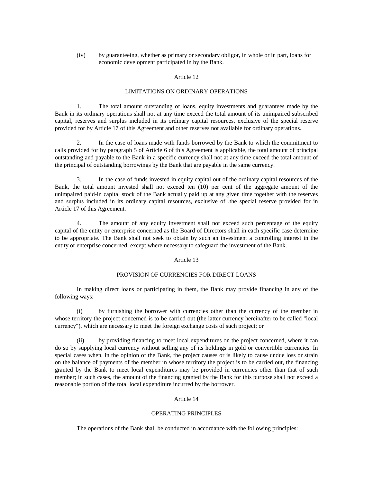(iv) by guaranteeing, whether as primary or secondary obligor, in whole or in part, loans for economic development participated in by the Bank.

#### Article 12

#### LIMITATIONS ON ORDINARY OPERATIONS

 1. The total amount outstanding of loans, equity investments and guarantees made by the Bank in its ordinary operations shall not at any time exceed the total amount of its unimpaired subscribed capital, reserves and surplus included in its ordinary capital resources, exclusive of the special reserve provided for by Article 17 of this Agreement and other reserves not available for ordinary operations.

 2. In the case of loans made with funds borrowed by the Bank to which the commitment to calls provided for by paragraph 5 of Article 6 of this Agreement is applicable, the total amount of principal outstanding and payable to the Bank in a specific currency shall not at any time exceed the total amount of the principal of outstanding borrowings by the Bank that are payable in the same currency.

 3. In the case of funds invested in equity capital out of the ordinary capital resources of the Bank, the total amount invested shall not exceed ten (10) per cent of the aggregate amount of the unimpaired paid-in capital stock of the Bank actually paid up at any given time together with the reserves and surplus included in its ordinary capital resources, exclusive of .the special reserve provided for in Article 17 of this Agreement.

 4. The amount of any equity investment shall not exceed such percentage of the equity capital of the entity or enterprise concerned as the Board of Directors shall in each specific case determine to be appropriate. The Bank shall not seek to obtain by such an investment a controlling interest in the entity or enterprise concerned, except where necessary to safeguard the investment of the Bank.

#### Article 13

## PROVISION OF CURRENCIES FOR DIRECT LOANS

 In making direct loans or participating in them, the Bank may provide financing in any of the following ways:

 (i) by furnishing the borrower with currencies other than the currency of the member in whose territory the project concerned is to be carried out (the latter currency hereinafter to be called "local currency"), which are necessary to meet the foreign exchange costs of such project; or

 (ii) by providing financing to meet local expenditures on the project concerned, where it can do so by supplying local currency without selling any of its holdings in gold or convertible currencies. In special cases when, in the opinion of the Bank, the project causes or is likely to cause undue loss or strain on the balance of payments of the member in whose territory the project is to be carried out, the financing granted by the Bank to meet local expenditures may be provided in currencies other than that of such member; in such cases, the amount of the financing granted by the Bank for this purpose shall not exceed a reasonable portion of the total local expenditure incurred by the borrower.

## Article 14

#### OPERATING PRINCIPLES

The operations of the Bank shall be conducted in accordance with the following principles: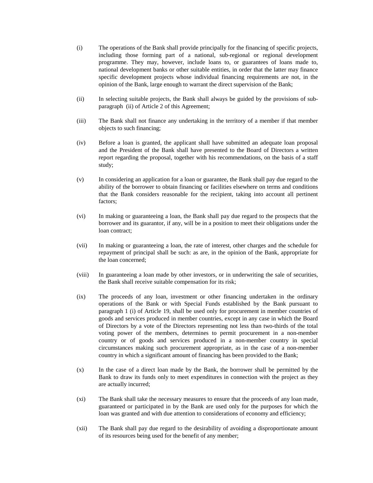- (i) The operations of the Bank shall provide principally for the financing of specific projects, including those forming part of a national, sub-regional or regional development programme. They may, however, include loans to, or guarantees of loans made to, national development banks or other suitable entities, in order that the latter may finance specific development projects whose individual financing requirements are not, in the opinion of the Bank, large enough to warrant the direct supervision of the Bank;
- (ii) In selecting suitable projects, the Bank shall always be guided by the provisions of subparagraph (ii) of Article 2 of this Agreement;
- (iii) The Bank shall not finance any undertaking in the territory of a member if that member objects to such financing;
- (iv) Before a loan is granted, the applicant shall have submitted an adequate loan proposal and the President of the Bank shall have presented to the Board of Directors a written report regarding the proposal, together with his recommendations, on the basis of a staff study;
- (v) In considering an application for a loan or guarantee, the Bank shall pay due regard to the ability of the borrower to obtain financing or facilities elsewhere on terms and conditions that the Bank considers reasonable for the recipient, taking into account all pertinent factors;
- (vi) In making or guaranteeing a loan, the Bank shall pay due regard to the prospects that the borrower and its guarantor, if any, will be in a position to meet their obligations under the loan contract;
- (vii) In making or guaranteeing a loan, the rate of interest, other charges and the schedule for repayment of principal shall be such: as are, in the opinion of the Bank, appropriate for the loan concerned;
- (viii) In guaranteeing a loan made by other investors, or in underwriting the sale of securities, the Bank shall receive suitable compensation for its risk;
- (ix) The proceeds of any loan, investment or other financing undertaken in the ordinary operations of the Bank or with Special Funds established by the Bank pursuant to paragraph 1 (i) of Article 19, shall be used only for procurement in member countries of goods and services produced in member countries, except in any case in which the Board of Directors by a vote of the Directors representing not less than two-thirds of the total voting power of the members, determines to permit procurement in a non-member country or of goods and services produced in a non-member country in special circumstances making such procurement appropriate, as in the case of a non-member country in which a significant amount of financing has been provided to the Bank;
- (x) In the case of a direct loan made by the Bank, the borrower shall be permitted by the Bank to draw its funds only to meet expenditures in connection with the project as they are actually incurred;
- (xi) The Bank shall take the necessary measures to ensure that the proceeds of any loan made, guaranteed or participated in by the Bank are used only for the purposes for which the loan was granted and with due attention to considerations of economy and efficiency;
- (xii) The Bank shall pay due regard to the desirability of avoiding a disproportionate amount of its resources being used for the benefit of any member;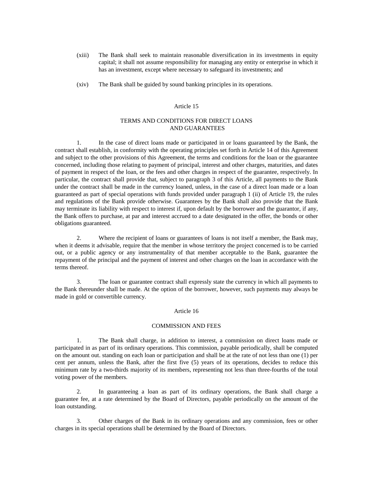- (xiii) The Bank shall seek to maintain reasonable diversification in its investments in equity capital; it shall not assume responsibility for managing any entity or enterprise in which it has an investment, except where necessary to safeguard its investments; and
- (xiv) The Bank shall be guided by sound banking principles in its operations.

## TERMS AND CONDITIONS FOR DIRECT LOANS AND GUARANTEES

 1. In the case of direct loans made or participated in or loans guaranteed by the Bank, the contract shall establish, in conformity with the operating principles set forth in Article 14 of this Agreement and subject to the other provisions of this Agreement, the terms and conditions for the loan or the guarantee concerned, including those relating to payment of principal, interest and other charges, maturities, and dates of payment in respect of the loan, or the fees and other charges in respect of the guarantee, respectively. In particular, the contract shall provide that, subject to paragraph 3 of this Article, all payments to the Bank under the contract shall be made in the currency loaned, unless, in the case of a direct loan made or a loan guaranteed as part of special operations with funds provided under paragraph 1 (ii) of Article 19, the rules and regulations of the Bank provide otherwise. Guarantees by the Bank shall also provide that the Bank may terminate its liability with respect to interest if, upon default by the borrower and the guarantor, if any, the Bank offers to purchase, at par and interest accrued to a date designated in the offer, the bonds or other obligations guaranteed.

 2. Where the recipient of loans or guarantees of loans is not itself a member, the Bank may, when it deems it advisable, require that the member in whose territory the project concerned is to be carried out, or a public agency or any instrumentality of that member acceptable to the Bank, guarantee the repayment of the principal and the payment of interest and other charges on the loan in accordance with the terms thereof.

 3. The loan or guarantee contract shall expressly state the currency in which all payments to the Bank thereunder shall be made. At the option of the borrower, however, such payments may always be made in gold or convertible currency.

## Article 16

## COMMISSION AND FEES

 1. The Bank shall charge, in addition to interest, a commission on direct loans made or participated in as part of its ordinary operations. This commission, payable periodically, shall be computed on the amount out. standing on each loan or participation and shall be at the rate of not less than one (1) per cent per annum, unless the Bank, after the first five (5) years of its operations, decides to reduce this minimum rate by a two-thirds majority of its members, representing not less than three-fourths of the total voting power of the members.

 2. In guaranteeing a loan as part of its ordinary operations, the Bank shall charge a guarantee fee, at a rate determined by the Board of Directors, payable periodically on the amount of the loan outstanding.

 3. Other charges of the Bank in its ordinary operations and any commission, fees or other charges in its special operations shall be determined by the Board of Directors.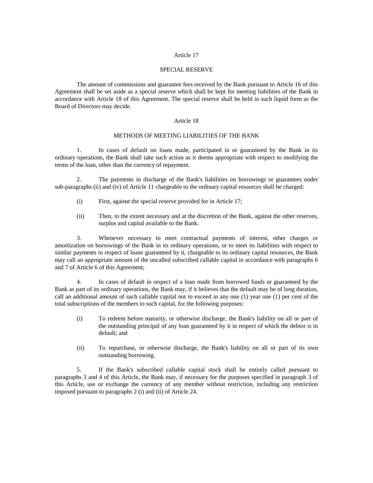## SPECIAL RESERVE

 The amount of commissions and guarantee fees received by the Bank pursuant to Article 16 of this Agreement shall be set aside as a special reserve which shall be kept for meeting liabilities of the Bank in accordance with Article 18 of this Agreement. The special reserve shall be held in such liquid form as the Board of Directors may decide.

## Article 18

## METHODS OF MEETING LIABILITIES OF THE BANK

 1. In cases of default on loans made, participated in or guaranteed by the Bank in its ordinary operations, the Bank shall take such action as it deems appropriate with respect to modifying the terms of the loan, other than the currency of repayment.

 2. The payments in discharge of the Bank's liabilities on borrowings or guarantees under sub-paragraphs (ii) and (iv) of Article 11 chargeable to the ordinary capital resources shall be charged:

- (i) First, against the special reserve provided for in Article 17;
- (ii) Then, to the extent necessary and at the discretion of the Bank, against the other reserves, surplus and capital available to the Bank.

 3. Whenever necessary to meet contractual payments of interest, other charges or amortization on borrowings of the Bank in its ordinary operations, or to meet its liabilities with respect to similar payments in respect of loans guaranteed by it, chargeable to its ordinary capital resources, the Bank may call an appropriate amount of the uncalled subscribed callable capital in accordance with paragraphs 6 and 7 of Article 6 of this Agreement;

 4. In cases of default in respect of a loan made from borrowed funds or guaranteed by the Bank as part of its ordinary operations, the Bank may, if it believes that the default may be of long duration, call an additional amount of such callable capital not to exceed in any one (1) year one (1) per cent of the total subscriptions of the members to such capital, for the following purposes:

- (i) To redeem before maturity, or otherwise discharge, the Bank's liability on all or part of the outstanding principal of any loan guaranteed by it in respect of which the debtor is in default; and
- (ii) To repurchase, or otherwise discharge, the Bank's liability on all or part of its own outstanding borrowing.

 5. If the Bank's subscribed callable capital stock shall be entirely called pursuant to paragraphs 3 and 4 of this Article, the Bank may, if necessary for the purposes specified in paragraph 3 of this Article, use or exchange the currency of any member without restriction, including any restriction imposed pursuant to paragraphs 2 (i) and (ii) of Article 24.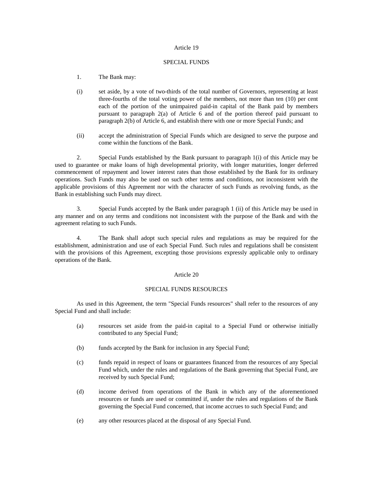#### SPECIAL FUNDS

- 1. The Bank may:
- (i) set aside, by a vote of two-thirds of the total number of Governors, representing at least three-fourths of the total voting power of the members, not more than ten (10) per cent each of the portion of the unimpaired paid-in capital of the Bank paid by members pursuant to paragraph 2(a) of Article 6 and of the portion thereof paid pursuant to paragraph 2(b) of Article 6, and establish there with one or more Special Funds; and
- (ii) accept the administration of Special Funds which are designed to serve the purpose and come within the functions of the Bank.

 2. Special Funds established by the Bank pursuant to paragraph 1(i) of this Article may be used to guarantee or make loans of high developmental priority, with longer maturities, longer deferred commencement of repayment and lower interest rates than those established by the Bank for its ordinary operations. Such Funds may also be used on such other terms and conditions, not inconsistent with the applicable provisions of this Agreement nor with the character of such Funds as revolving funds, as the Bank in establishing such Funds may direct.

 3. Special Funds accepted by the Bank under paragraph 1 (ii) of this Article may be used in any manner and on any terms and conditions not inconsistent with the purpose of the Bank and with the agreement relating to such Funds.

 4. The Bank shall adopt such special rules and regulations as may be required for the establishment, administration and use of each Special Fund. Such rules and regulations shall be consistent with the provisions of this Agreement, excepting those provisions expressly applicable only to ordinary operations of the Bank.

## Article 20

## SPECIAL FUNDS RESOURCES

 As used in this Agreement, the term "Special Funds resources" shall refer to the resources of any Special Fund and shall include:

- (a) resources set aside from the paid-in capital to a Special Fund or otherwise initially contributed to any Special Fund;
- (b) funds accepted by the Bank for inclusion in any Special Fund;
- (c) funds repaid in respect of loans or guarantees financed from the resources of any Special Fund which, under the rules and regulations of the Bank governing that Special Fund, are received by such Special Fund;
- (d) income derived from operations of the Bank in which any of the aforementioned resources or funds are used or committed if, under the rules and regulations of the Bank governing the Special Fund concerned, that income accrues to such Special Fund; and
- (e) any other resources placed at the disposal of any Special Fund.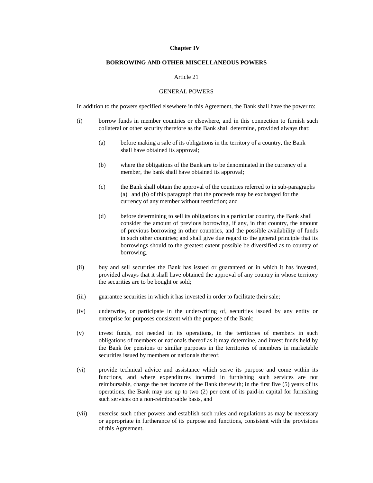#### **Chapter IV**

#### **BORROWING AND OTHER MISCELLANEOUS POWERS**

#### Article 21

#### GENERAL POWERS

In addition to the powers specified elsewhere in this Agreement, the Bank shall have the power to:

- (i) borrow funds in member countries or elsewhere, and in this connection to furnish such collateral or other security therefore as the Bank shall determine, provided always that:
	- (a) before making a sale of its obligations in the territory of a country, the Bank shall have obtained its approval;
	- (b) where the obligations of the Bank are to be denominated in the currency of a member, the bank shall have obtained its approval;
	- (c) the Bank shall obtain the approval of the countries referred to in sub-paragraphs (a) and (b) of this paragraph that the proceeds may be exchanged for the currency of any member without restriction; and
	- (d) before determining to sell its obligations in a particular country, the Bank shall consider the amount of previous borrowing, if any, in that country, the amount of previous borrowing in other countries, and the possible availability of funds in such other countries; and shall give due regard to the general principle that its borrowings should to the greatest extent possible be diversified as to country of borrowing.
- (ii) buy and sell securities the Bank has issued or guaranteed or in which it has invested, provided always that it shall have obtained the approval of any country in whose territory the securities are to be bought or sold;
- (iii) guarantee securities in which it has invested in order to facilitate their sale;
- (iv) underwrite, or participate in the underwriting of, securities issued by any entity or enterprise for purposes consistent with the purpose of the Bank;
- (v) invest funds, not needed in its operations, in the territories of members in such obligations of members or nationals thereof as it may determine, and invest funds held by the Bank for pensions or similar purposes in the territories of members in marketable securities issued by members or nationals thereof;
- (vi) provide technical advice and assistance which serve its purpose and come within its functions, and where expenditures incurred in furnishing such services are not reimbursable, charge the net income of the Bank therewith; in the first five (5) years of its operations, the Bank may use up to two (2) per cent of its paid-in capital for furnishing such services on a non-reimbursable basis, and
- (vii) exercise such other powers and establish such rules and regulations as may be necessary or appropriate in furtherance of its purpose and functions, consistent with the provisions of this Agreement.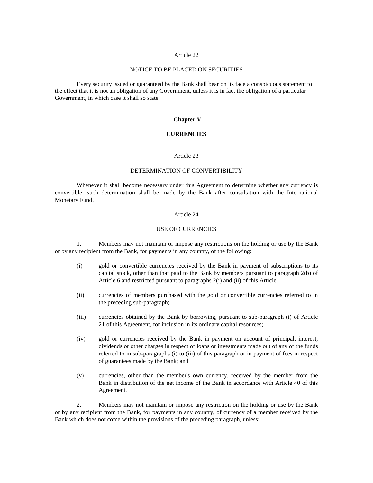## NOTICE TO BE PLACED ON SECURITIES

 Every security issued or guaranteed by the Bank shall bear on its face a conspicuous statement to the effect that it is not an obligation of any Government, unless it is in fact the obligation of a particular Government, in which case it shall so state.

#### **Chapter V**

## **CURRENCIES**

#### Article 23

## DETERMINATION OF CONVERTIBILITY

 Whenever it shall become necessary under this Agreement to determine whether any currency is convertible, such determination shall be made by the Bank after consultation with the International Monetary Fund.

#### Article 24

## USE OF CURRENCIES

 1. Members may not maintain or impose any restrictions on the holding or use by the Bank or by any recipient from the Bank, for payments in any country, of the following:

- (i) gold or convertible currencies received by the Bank in payment of subscriptions to its capital stock, other than that paid to the Bank by members pursuant to paragraph 2(b) of Article 6 and restricted pursuant to paragraphs 2(i) and (ii) of this Article;
- (ii) currencies of members purchased with the gold or convertible currencies referred to in the preceding sub-paragraph;
- (iii) currencies obtained by the Bank by borrowing, pursuant to sub-paragraph (i) of Article 21 of this Agreement, for inclusion in its ordinary capital resources;
- (iv) gold or currencies received by the Bank in payment on account of principal, interest, dividends or other charges in respect of loans or investments made out of any of the funds referred to in sub-paragraphs (i) to (iii) of this paragraph or in payment of fees in respect of guarantees made by the Bank; and
- (v) currencies, other than the member's own currency, received by the member from the Bank in distribution of the net income of the Bank in accordance with Article 40 of this Agreement.

 2. Members may not maintain or impose any restriction on the holding or use by the Bank or by any recipient from the Bank, for payments in any country, of currency of a member received by the Bank which does not come within the provisions of the preceding paragraph, unless: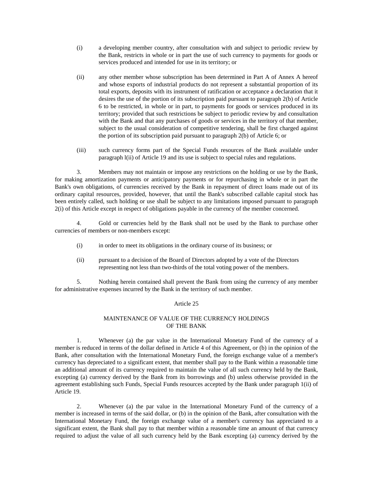- (i) a developing member country, after consultation with and subject to periodic review by the Bank, restricts in whole or in part the use of such currency to payments for goods or services produced and intended for use in its territory; or
- (ii) any other member whose subscription has been determined in Part A of Annex A hereof and whose exports of industrial products do not represent a substantial proportion of its total exports, deposits with its instrument of ratification or acceptance a declaration that it desires the use of the portion of its subscription paid pursuant to paragraph 2(b) of Article 6 to be restricted, in whole or in part, to payments for goods or services produced in its territory; provided that such restrictions be subject to periodic review by and consultation with the Bank and that any purchases of goods or services in the territory of that member, subject to the usual consideration of competitive tendering, shall be first charged against the portion of its subscription paid pursuant to paragraph 2(b) of Article 6; or
- (iii) such currency forms part of the Special Funds resources of the Bank available under paragraph l(ii) of Article 19 and its use is subject to special rules and regulations.

 3. Members may not maintain or impose any restrictions on the holding or use by the Bank, for making amortization payments or anticipatory payments or for repurchasing in whole or in part the Bank's own obligations, of currencies received by the Bank in repayment of direct loans made out of its ordinary capital resources, provided, however, that until the Bank's subscribed callable capital stock has been entirely called, such holding or use shall be subject to any limitations imposed pursuant to paragraph 2(i) of this Article except in respect of obligations payable in the currency of the member concerned.

 4. Gold or currencies held by the Bank shall not be used by the Bank to purchase other currencies of members or non-members except:

- (i) in order to meet its obligations in the ordinary course of its business; or
- (ii) pursuant to a decision of the Board of Directors adopted by a vote of the Directors representing not less than two-thirds of the total voting power of the members.

 5. Nothing herein contained shall prevent the Bank from using the currency of any member for administrative expenses incurred by the Bank in the territory of such member.

## Article 25

## MAINTENANCE OF VALUE OF THE CURRENCY HOLDINGS OF THE BANK

 1. Whenever (a) the par value in the International Monetary Fund of the currency of a member is reduced in terms of the dollar defined in Article 4 of this Agreement, or (b) in the opinion of the Bank, after consultation with the International Monetary Fund, the foreign exchange value of a member's currency has depreciated to a significant extent, that member shall pay to the Bank within a reasonable time an additional amount of its currency required to maintain the value of all such currency held by the Bank, excepting (a) currency derived by the Bank from its borrowings and (b) unless otherwise provided in the agreement establishing such Funds, Special Funds resources accepted by the Bank under paragraph 1(ii) of Article 19.

 2. Whenever (a) the par value in the International Monetary Fund of the currency of a member is increased in terms of the said dollar, or (b) in the opinion of the Bank, after consultation with the International Monetary Fund, the foreign exchange value of a member's currency has appreciated to a significant extent, the Bank shall pay to that member within a reasonable time an amount of that currency required to adjust the value of all such currency held by the Bank excepting (a) currency derived by the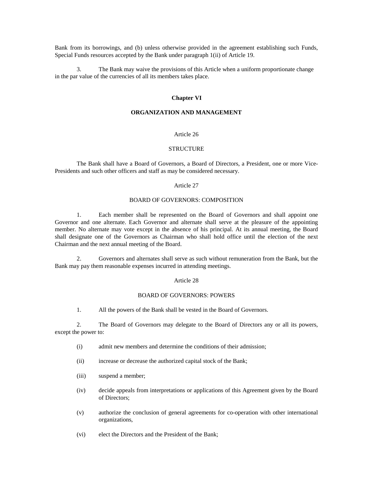Bank from its borrowings, and (b) unless otherwise provided in the agreement establishing such Funds, Special Funds resources accepted by the Bank under paragraph 1(ii) of Article 19.

 3. The Bank may waive the provisions of this Article when a uniform proportionate change in the par value of the currencies of all its members takes place.

## **Chapter VI**

## **ORGANIZATION AND MANAGEMENT**

## Article 26

## **STRUCTURE**

 The Bank shall have a Board of Governors, a Board of Directors, a President, one or more Vice-Presidents and such other officers and staff as may be considered necessary.

#### Article 27

## BOARD OF GOVERNORS: COMPOSITION

 1. Each member shall be represented on the Board of Governors and shall appoint one Governor and one alternate. Each Governor and alternate shall serve at the pleasure of the appointing member. No alternate may vote except in the absence of his principal. At its annual meeting, the Board shall designate one of the Governors as Chairman who shall hold office until the election of the next Chairman and the next annual meeting of the Board.

 2. Governors and alternates shall serve as such without remuneration from the Bank, but the Bank may pay them reasonable expenses incurred in attending meetings.

#### Article 28

## BOARD OF GOVERNORS: POWERS

1. All the powers of the Bank shall be vested in the Board of Governors.

 2. The Board of Governors may delegate to the Board of Directors any or all its powers, except the power to:

- (i) admit new members and determine the conditions of their admission;
- (ii) increase or decrease the authorized capital stock of the Bank;
- (iii) suspend a member;
- (iv) decide appeals from interpretations or applications of this Agreement given by the Board of Directors;
- (v) authorize the conclusion of general agreements for co-operation with other international organizations,
- (vi) elect the Directors and the President of the Bank;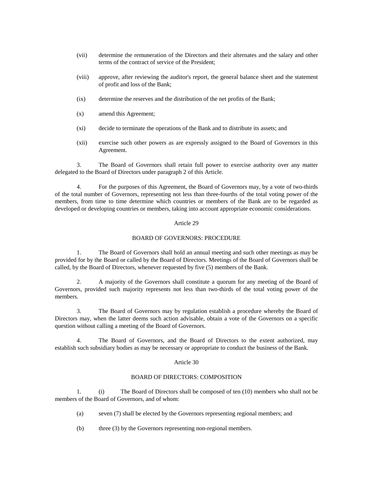- (vii) determine the remuneration of the Directors and their alternates and the salary and other terms of the contract of service of the President;
- (viii) approve, after reviewing the auditor's report, the general balance sheet and the statement of profit and loss of the Bank;
- (ix) determine the reserves and the distribution of the net profits of the Bank;
- (x) amend this Agreement;
- (xi) decide to terminate the operations of the Bank and to distribute its assets; and
- (xii) exercise such other powers as are expressly assigned to the Board of Governors in this Agreement.

 3. The Board of Governors shall retain full power to exercise authority over any matter delegated to the Board of Directors under paragraph 2 of this Article.

 4. For the purposes of this Agreement, the Board of Governors may, by a vote of two-thirds of the total number of Governors, representing not less than three-fourths of the total voting power of the members, from time to time determine which countries or members of the Bank are to be regarded as developed or developing countries or members, taking into account appropriate economic considerations.

#### Article 29

## BOARD OF GOVERNORS: PROCEDURE

 1. The Board of Governors shall hold an annual meeting and such other meetings as may be provided for by the Board or called by the Board of Directors. Meetings of the Board of Governors shall be called, by the Board of Directors, whenever requested by five (5) members of the Bank.

 2. A majority of the Governors shall constitute a quorum for any meeting of the Board of Governors, provided such majority represents not less than two-thirds of the total voting power of the members.

 3. The Board of Governors may by regulation establish a procedure whereby the Board of Directors may, when the latter deems such action advisable, obtain a vote of the Governors on a specific question without calling a meeting of the Board of Governors.

 4. The Board of Governors, and the Board of Directors to the extent authorized, may establish such subsidiary bodies as may be necessary or appropriate to conduct the business of the Bank.

## Article 30

## BOARD OF DIRECTORS: COMPOSITION

 1. (i) The Board of Directors shall be composed of ten (10) members who shall not be members of the Board of Governors, and of whom:

- (a) seven (7) shall be elected by the Governors representing regional members; and
- (b) three (3) by the Governors representing non-regional members.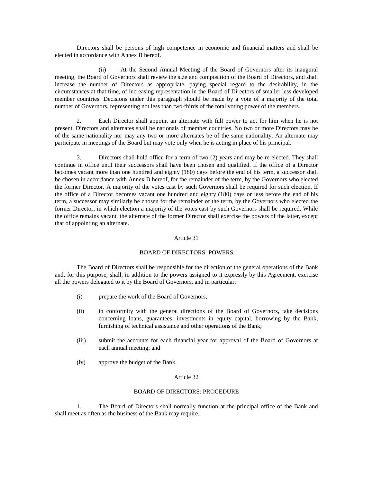Directors shall be persons of high competence in economic and financial matters and shall be elected in accordance with Annex B hereof.

 (ii) At the Second Annual Meeting of the Board of Governors after its inaugural meeting, the Board of Governors shall review the size and composition of the Board of Directors, and shall increase the number of Directors as appropriate, paying special regard to the desirability, in the circumstances at that time, of increasing representation in the Board of Directors of smaller less developed member countries. Decisions under this paragraph should be made by a vote of a majority of the total number of Governors, representing not less than two-thirds of the total voting power of the members.

 2. Each Director shall appoint an alternate with full power to act for him when he is not present. Directors and alternates shall be nationals of member countries. No two or more Directors may be of the same nationality nor may any two or more alternates be of the same nationality. An alternate may participate in meetings of the Board but may vote only when he is acting in place of his principal.

 3. Directors shall hold office for a term of two (2) years and may be re-elected. They shall continue in office until their successors shall have been chosen and qualified. If the office of a Director becomes vacant more than one hundred and eighty (180) days before the end of his term, a successor shall be chosen in accordance with Annex B hereof, for the remainder of the term, by the Governors who elected the former Director. A majority of the votes cast by such Governors shall be required for such election. If the office of a Director becomes vacant one hundred and eighty (180) days or less before the end of his term, a successor may similarly be chosen for the remainder of the term, by the Governors who elected the former Director, in which election a majority of the votes cast by such Governors shall be required. While the office remains vacant, the alternate of the former Director shall exercise the powers of the latter, except that of appointing an alternate.

#### Article 31

#### BOARD OF DIRECTORS: POWERS

 The Board of Directors shall be responsible for the direction of the general operations of the Bank and, for this purpose, shall, in addition to the powers assigned to it expressly by this Agreement, exercise all the powers delegated to it by the Board of Governors, and in particular:

- (i) prepare the work of the Board of Governors,
- (ii) in conformity with the general directions of the Board of Governors, take decisions concerning loans, guarantees, investments in equity capital, borrowing by the Bank, furnishing of technical assistance and other operations of the Bank;
- (iii) submit the accounts for each financial year for approval of the Board of Governors at each annual meeting; and
- (iv) approve the budget of the Bank.

## Article 32

## BOARD OF DIRECTORS: PROCEDURE

 1. The Board of Directors shall normally function at the principal office of the Bank and shall meet as often as the business of the Bank may require.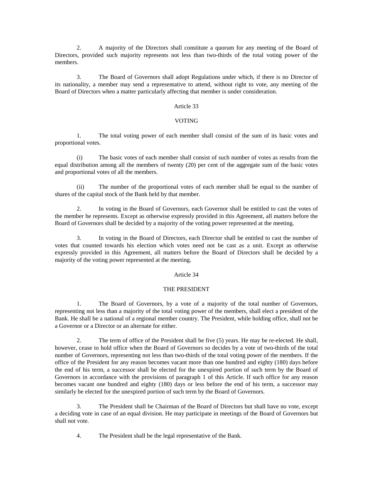2. A majority of the Directors shall constitute a quorum for any meeting of the Board of Directors, provided such majority represents not less than two-thirds of the total voting power of the members.

 3. The Board of Governors shall adopt Regulations under which, if there is no Director of its nationality, a member may send a representative to attend, without right to vote, any meeting of the Board of Directors when a matter particularly affecting that member is under consideration.

## Article 33

## VOTING

 1. The total voting power of each member shall consist of the sum of its basic votes and proportional votes.

 (i) The basic votes of each member shall consist of such number of votes as results from the equal distribution among all the members of twenty (20) per cent of the aggregate sum of the basic votes and proportional votes of all the members.

 (ii) The number of the proportional votes of each member shall be equal to the number of shares of the capital stock of the Bank held by that member.

 2. In voting in the Board of Governors, each Governor shall be entitled to cast the votes of the member he represents. Except as otherwise expressly provided in this Agreement, all matters before the Board of Governors shall be decided by a majority of the voting power represented at the meeting.

 3. In voting in the Board of Directors, each Director shall be entitled to cast the number of votes that counted towards his election which votes need not be cast as a unit. Except as otherwise expressly provided in this Agreement, all matters before the Board of Directors shall be decided by a majority of the voting power represented at the meeting.

## Article 34

## THE PRESIDENT

 1. The Board of Governors, by a vote of a majority of the total number of Governors, representing not less than a majority of the total voting power of the members, shall elect a president of the Bank. He shall be a national of a regional member country. The President, while holding office, shall not be a Governor or a Director or an alternate for either.

 2. The term of office of the President shall be five (5) years. He may be re-elected. He shall, however, cease to hold office when the Board of Governors so decides by a vote of two-thirds of the total number of Governors, representing not less than two-thirds of the total voting power of the members. If the office of the President for any reason becomes vacant more than one hundred and eighty (180) days before the end of his term, a successor shall be elected for the unexpired portion of such term by the Board of Governors in accordance with the provisions of paragraph 1 of this Article. If such office for any reason becomes vacant one hundred and eighty (180) days or less before the end of his term, a successor may similarly be elected for the unexpired portion of such term by the Board of Governors.

 3. The President shall be Chairman of the Board of Directors but shall have no vote, except a deciding vote in case of an equal division. He may participate in meetings of the Board of Governors but shall not vote.

4. The President shall be the legal representative of the Bank.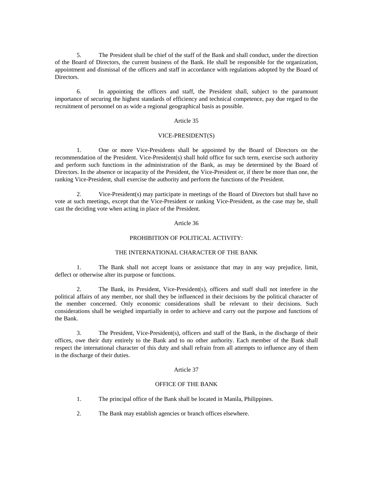5. The President shall be chief of the staff of the Bank and shall conduct, under the direction of the Board of Directors, the current business of the Bank. He shall be responsible for the organization, appointment and dismissal of the officers and staff in accordance with regulations adopted by the Board of Directors.

 6. In appointing the officers and staff, the President shall, subject to the paramount importance of securing the highest standards of efficiency and technical competence, pay due regard to the recruitment of personnel on as wide a regional geographical basis as possible.

## Article 35

## VICE-PRESIDENT(S)

 1. One or more Vice-Presidents shall be appointed by the Board of Directors on the recommendation of the President. Vice-President(s) shall hold office for such term, exercise such authority and perform such functions in the administration of the Bank, as may be determined by the Board of Directors. In the absence or incapacity of the President, the Vice-President or, if there be more than one, the ranking Vice-President, shall exercise the authority and perform the functions of the President.

 2. Vice-President(s) may participate in meetings of the Board of Directors but shall have no vote at such meetings, except that the Vice-President or ranking Vice-President, as the case may be, shall cast the deciding vote when acting in place of the President.

#### Article 36

## PROHIBITION OF POLITICAL ACTIVITY:

#### THE INTERNATIONAL CHARACTER OF THE BANK

The Bank shall not accept loans or assistance that may in any way prejudice, limit, deflect or otherwise alter its purpose or functions.

 2. The Bank, its President, Vice-President(s), officers and staff shall not interfere in the political affairs of any member, nor shall they be influenced in their decisions by the political character of the member concerned. Only economic considerations shall be relevant to their decisions. Such considerations shall be weighed impartially in order to achieve and carry out the purpose and functions of the Bank.

 3. The President, Vice-President(s), officers and staff of the Bank, in the discharge of their offices, owe their duty entirely to the Bank and to no other authority. Each member of the Bank shall respect the international character of this duty and shall refrain from all attempts to influence any of them in the discharge of their duties.

#### Article 37

#### OFFICE OF THE BANK

- 1. The principal office of the Bank shall be located in Manila, Philippines.
- 2. The Bank may establish agencies or branch offices elsewhere.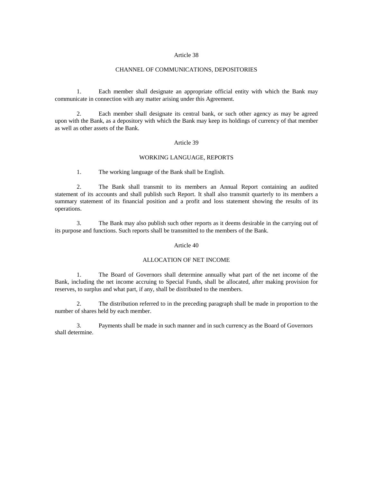## CHANNEL OF COMMUNICATIONS, DEPOSITORIES

 1. Each member shall designate an appropriate official entity with which the Bank may communicate in connection with any matter arising under this Agreement.

 2. Each member shall designate its central bank, or such other agency as may be agreed upon with the Bank, as a depository with which the Bank may keep its holdings of currency of that member as well as other assets of the Bank.

#### Article 39

## WORKING LANGUAGE, REPORTS

1. The working language of the Bank shall be English.

 2. The Bank shall transmit to its members an Annual Report containing an audited statement of its accounts and shall publish such Report. It shall also transmit quarterly to its members a summary statement of its financial position and a profit and loss statement showing the results of its operations.

 3. The Bank may also publish such other reports as it deems desirable in the carrying out of its purpose and functions. Such reports shall be transmitted to the members of the Bank.

## Article 40

## ALLOCATION OF NET INCOME

 1. The Board of Governors shall determine annually what part of the net income of the Bank, including the net income accruing to Special Funds, shall be allocated, after making provision for reserves, to surplus and what part, if any, shall be distributed to the members.

 2. The distribution referred to in the preceding paragraph shall be made in proportion to the number of shares held by each member.

 3. Payments shall be made in such manner and in such currency as the Board of Governors shall determine.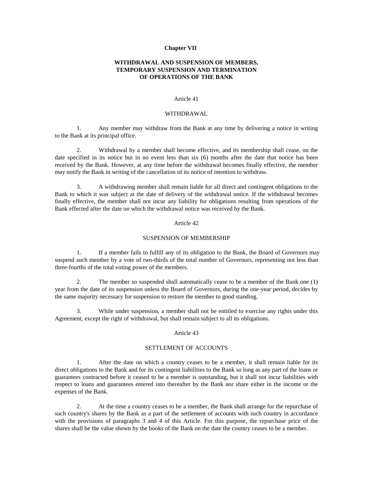#### **Chapter VII**

## **WITHDRAWAL AND SUSPENSION OF MEMBERS, TEMPORARY SUSPENSION AND TERMINATION OF OPERATIONS OF THE BANK**

## Article 41

## WITHDRAWAL

 1. Any member may withdraw from the Bank at any time by delivering a notice in writing to the Bank at its principal office.

 2. Withdrawal by a member shall become effective, and its membership shall cease, on the date specified in its notice but in no event less than six (6) months after the date that notice has been received by the Bank. However, at any time before the withdrawal becomes finally effective, the member may notify the Bank in writing of the cancellation of its notice of intention to withdraw.

 3. A withdrawing member shall remain liable for all direct and contingent obligations to the Bank to which it was subject at the date of delivery of the withdrawal notice. If the withdrawal becomes finally effective, the member shall not incur any liability for obligations resulting from operations of the Bank effected after the date on which the withdrawal notice was received by the Bank.

#### Article 42

## SUSPENSION OF MEMBERSHIP

 1. If a member fails to fulfill any of its obligation to the Bank, the Board of Governors may suspend such member by a vote of two-thirds of the total number of Governors, representing not less than three-fourths of the total voting power of the members.

 2. The member so suspended shall automatically cease to be a member of the Bank one (1) year from the date of its suspension unless the Board of Governors, during the one-year period, decides by the same majority necessary for suspension to restore the member to good standing.

 3. While under suspension, a member shall not be entitled to exercise any rights under this Agreement, except the right of withdrawal, but shall remain subject to all its obligations.

#### Article 43

#### SETTLEMENT OF ACCOUNTS

 1. After the date on which a country ceases to be a member, it shall remain liable for its direct obligations to the Bank and for its contingent liabilities to the Bank so long as any part of the loans or guarantees contracted before it ceased to be a member is outstanding, but it shall not incur liabilities with respect to loans and guarantees entered into thereafter by the Bank nor share either in the income or the expenses of the Bank.

 2. At the time a country ceases to be a member, the Bank shall arrange for the repurchase of such country's shares by the Bank as a part of the settlement of accounts with such country in accordance with the provisions of paragraphs 3 and 4 of this Article. For this purpose, the repurchase price of the shares shall be the value shown by the books of the Bank on the date the country ceases to be a member.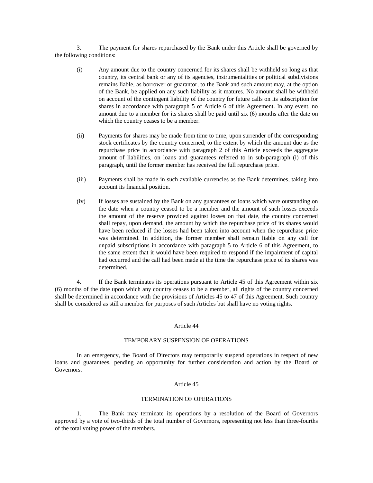3. The payment for shares repurchased by the Bank under this Article shall be governed by the following conditions:

- (i) Any amount due to the country concerned for its shares shall be withheld so long as that country, its central bank or any of its agencies, instrumentalities or political subdivisions remains liable, as borrower or guarantor, to the Bank and such amount may, at the option of the Bank, be applied on any such liability as it matures. No amount shall be withheld on account of the contingent liability of the country for future calls on its subscription for shares in accordance with paragraph 5 of Article 6 of this Agreement. In any event, no amount due to a member for its shares shall be paid until six (6) months after the date on which the country ceases to be a member.
- (ii) Payments for shares may be made from time to time, upon surrender of the corresponding stock certificates by the country concerned, to the extent by which the amount due as the repurchase price in accordance with paragraph 2 of this Article exceeds the aggregate amount of liabilities, on loans and guarantees referred to in sub-paragraph (i) of this paragraph, until the former member has received the full repurchase price.
- (iii) Payments shall be made in such available currencies as the Bank determines, taking into account its financial position.
- (iv) If losses are sustained by the Bank on any guarantees or loans which were outstanding on the date when a country ceased to be a member and the amount of such losses exceeds the amount of the reserve provided against losses on that date, the country concerned shall repay, upon demand, the amount by which the repurchase price of its shares would have been reduced if the losses had been taken into account when the repurchase price was determined. In addition, the former member shall remain liable on any call for unpaid subscriptions in accordance with paragraph 5 to Article 6 of this Agreement, to the same extent that it would have been required to respond if the impairment of capital had occurred and the call had been made at the time the repurchase price of its shares was determined.

 4. If the Bank terminates its operations pursuant to Article 45 of this Agreement within six (6) months of the date upon which any country ceases to be a member, all rights of the country concerned shall be determined in accordance with the provisions of Articles 45 to 47 of this Agreement. Such country shall be considered as still a member for purposes of such Articles but shall have no voting rights.

## Article 44

## TEMPORARY SUSPENSION OF OPERATIONS

 In an emergency, the Board of Directors may temporarily suspend operations in respect of new loans and guarantees, pending an opportunity for further consideration and action by the Board of Governors.

#### Article 45

## TERMINATION OF OPERATIONS

 1. The Bank may terminate its operations by a resolution of the Board of Governors approved by a vote of two-thirds of the total number of Governors, representing not less than three-fourths of the total voting power of the members.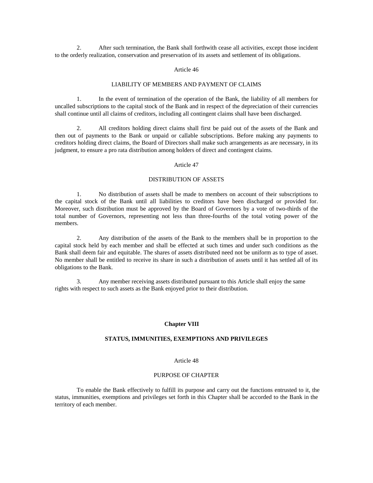2. After such termination, the Bank shall forthwith cease all activities, except those incident to the orderly realization, conservation and preservation of its assets and settlement of its obligations.

## Article 46

## LIABILITY OF MEMBERS AND PAYMENT OF CLAIMS

 1. In the event of termination of the operation of the Bank, the liability of all members for uncalled subscriptions to the capital stock of the Bank and in respect of the depreciation of their currencies shall continue until all claims of creditors, including all contingent claims shall have been discharged.

 2. All creditors holding direct claims shall first be paid out of the assets of the Bank and then out of payments to the Bank or unpaid or callable subscriptions. Before making any payments to creditors holding direct claims, the Board of Directors shall make such arrangements as are necessary, in its judgment, to ensure a pro rata distribution among holders of direct and contingent claims.

Article 47

## DISTRIBUTION OF ASSETS

 1. No distribution of assets shall be made to members on account of their subscriptions to the capital stock of the Bank until all liabilities to creditors have been discharged or provided for. Moreover, such distribution must be approved by the Board of Governors by a vote of two-thirds of the total number of Governors, representing not less than three-fourths of the total voting power of the members.

 2. Any distribution of the assets of the Bank to the members shall be in proportion to the capital stock held by each member and shall be effected at such times and under such conditions as the Bank shall deem fair and equitable. The shares of assets distributed need not be uniform as to type of asset. No member shall be entitled to receive its share in such a distribution of assets until it has settled all of its obligations to the Bank.

 3. Any member receiving assets distributed pursuant to this Article shall enjoy the same rights with respect to such assets as the Bank enjoyed prior to their distribution.

#### **Chapter VIII**

## **STATUS, IMMUNITIES, EXEMPTIONS AND PRIVILEGES**

#### Article 48

## PURPOSE OF CHAPTER

 To enable the Bank effectively to fulfill its purpose and carry out the functions entrusted to it, the status, immunities, exemptions and privileges set forth in this Chapter shall be accorded to the Bank in the territory of each member.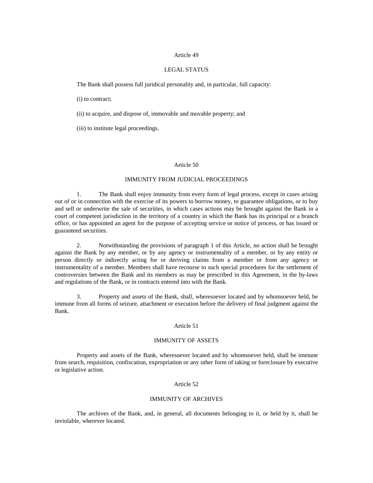## LEGAL STATUS

The Bank shall possess full juridical personality and, in particular, full capacity:

(i) to contract;

(ii) to acquire, and dispose of, immovable and movable property; and

(iii) to institute legal proceedings.

#### Article 50

## IMMUNITY FROM JUDICIAL PROCEEDINGS

 1. The Bank shall enjoy immunity from every form of legal process, except in cases arising out of or in connection with the exercise of its powers to borrow money, to guarantee obligations, or to buy and sell or underwrite the sale of securities, in which cases actions may be brought against the Bank in a court of competent jurisdiction in the territory of a country in which the Bank has its principal or a branch office, or has appointed an agent for the purpose of accepting service or notice of process, or has issued or guaranteed securities.

 2. Notwithstanding the provisions of paragraph 1 of this Article, no action shall be brought against the Bank by any member, or by any agency or instrumentality of a member, or by any entity or person directly or indirectly acting for or deriving claims from a member or from any agency or instrumentality of a member. Members shall have recourse to such special procedures for the settlement of controversies between the Bank and its members as may be prescribed in this Agreement, in the by-laws and regulations of the Bank, or in contracts entered into with the Bank.

 3. Property and assets of the Bank, shall, wheresoever located and by whomsoever held, be immune from all forms of seizure, attachment or execution before the delivery of final judgment against the Bank.

## Article 51

## IMMUNITY OF ASSETS

 Property and assets of the Bank, wheresoever located and by whomsoever held, shall be immune from search, requisition, confiscation, expropriation or any other form of taking or foreclosure by executive or legislative action.

#### Article 52

## IMMUNITY OF ARCHIVES

 The archives of the Bank, and, in general, all documents belonging to it, or held by it, shall be inviolable, wherever located.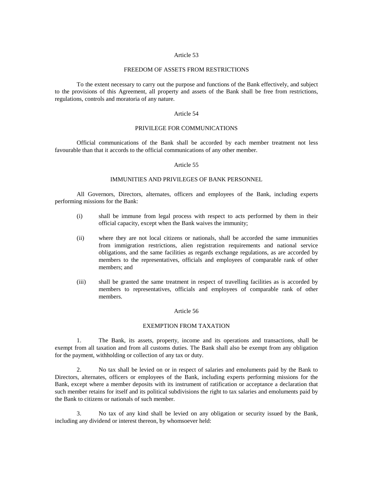## FREEDOM OF ASSETS FROM RESTRICTIONS

 To the extent necessary to carry out the purpose and functions of the Bank effectively, and subject to the provisions of this Agreement, all property and assets of the Bank shall be free from restrictions, regulations, controls and moratoria of any nature.

#### Article 54

## PRIVILEGE FOR COMMUNICATIONS

 Official communications of the Bank shall be accorded by each member treatment not less favourable than that it accords to the official communications of any other member.

#### Article 55

#### IMMUNITIES AND PRIVILEGES OF BANK PERSONNEL

 All Governors, Directors, alternates, officers and employees of the Bank, including experts performing missions for the Bank:

- (i) shall be immune from legal process with respect to acts performed by them in their official capacity, except when the Bank waives the immunity;
- (ii) where they are not local citizens or nationals, shall be accorded the same immunities from immigration restrictions, alien registration requirements and national service obligations, and the same facilities as regards exchange regulations, as are accorded by members to the representatives, officials and employees of comparable rank of other members; and
- (iii) shall be granted the same treatment in respect of travelling facilities as is accorded by members to representatives, officials and employees of comparable rank of other members.

## Article 56

## EXEMPTION FROM TAXATION

 1. The Bank, its assets, property, income and its operations and transactions, shall be exempt from all taxation and from all customs duties. The Bank shall also be exempt from any obligation for the payment, withholding or collection of any tax or duty.

 2. No tax shall be levied on or in respect of salaries and emoluments paid by the Bank to Directors, alternates, officers or employees of the Bank, including experts performing missions for the Bank, except where a member deposits with its instrument of ratification or acceptance a declaration that such member retains for itself and its political subdivisions the right to tax salaries and emoluments paid by the Bank to citizens or nationals of such member.

 3. No tax of any kind shall be levied on any obligation or security issued by the Bank, including any dividend or interest thereon, by whomsoever held: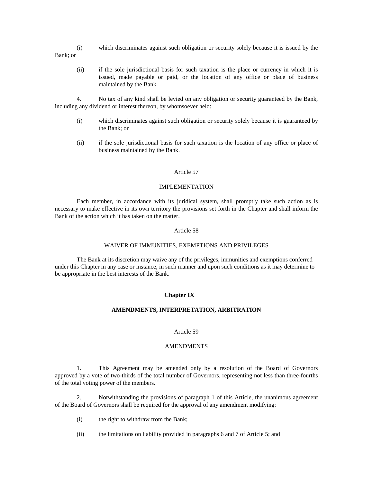- (i) which discriminates against such obligation or security solely because it is issued by the Bank; or
	- (ii) if the sole jurisdictional basis for such taxation is the place or currency in which it is issued, made payable or paid, or the location of any office or place of business maintained by the Bank.

 4. No tax of any kind shall be levied on any obligation or security guaranteed by the Bank, including any dividend or interest thereon, by whomsoever held:

- (i) which discriminates against such obligation or security solely because it is guaranteed by the Bank; or
- (ii) if the sole jurisdictional basis for such taxation is the location of any office or place of business maintained by the Bank.

## Article 57

#### IMPLEMENTATION

 Each member, in accordance with its juridical system, shall promptly take such action as is necessary to make effective in its own territory the provisions set forth in the Chapter and shall inform the Bank of the action which it has taken on the matter.

## Article 58

## WAIVER OF IMMUNITIES, EXEMPTIONS AND PRIVILEGES

 The Bank at its discretion may waive any of the privileges, immunities and exemptions conferred under this Chapter in any case or instance, in such manner and upon such conditions as it may determine to be appropriate in the best interests of the Bank.

## **Chapter IX**

## **AMENDMENTS, INTERPRETATION, ARBITRATION**

## Article 59

## **AMENDMENTS**

 1. This Agreement may be amended only by a resolution of the Board of Governors approved by a vote of two-thirds of the total number of Governors, representing not less than three-fourths of the total voting power of the members.

 2. Notwithstanding the provisions of paragraph 1 of this Article, the unanimous agreement of the Board of Governors shall be required for the approval of any amendment modifying:

- (i) the right to withdraw from the Bank;
- (ii) the limitations on liability provided in paragraphs 6 and 7 of Article 5; and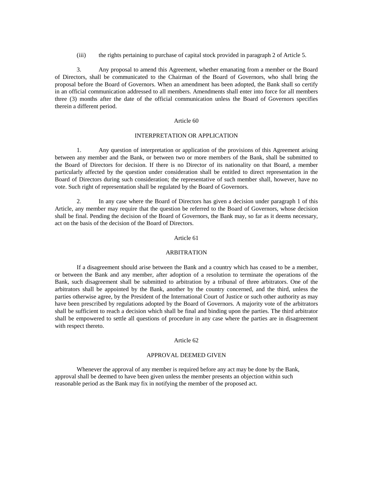(iii) the rights pertaining to purchase of capital stock provided in paragraph 2 of Article 5.

 3. Any proposal to amend this Agreement, whether emanating from a member or the Board of Directors, shall be communicated to the Chairman of the Board of Governors, who shall bring the proposal before the Board of Governors. When an amendment has been adopted, the Bank shall so certify in an official communication addressed to all members. Amendments shall enter into force for all members three (3) months after the date of the official communication unless the Board of Governors specifies therein a different period.

## Article 60

## INTERPRETATION OR APPLICATION

 1. Any question of interpretation or application of the provisions of this Agreement arising between any member and the Bank, or between two or more members of the Bank, shall be submitted to the Board of Directors for decision. If there is no Director of its nationality on that Board, a member particularly affected by the question under consideration shall be entitled to direct representation in the Board of Directors during such consideration; the representative of such member shall, however, have no vote. Such right of representation shall be regulated by the Board of Governors.

 2. In any case where the Board of Directors has given a decision under paragraph 1 of this Article, any member may require that the question be referred to the Board of Governors, whose decision shall be final. Pending the decision of the Board of Governors, the Bank may, so far as it deems necessary, act on the basis of the decision of the Board of Directors.

## Article 61

#### ARBITRATION

 If a disagreement should arise between the Bank and a country which has ceased to be a member, or between the Bank and any member, after adoption of a resolution to terminate the operations of the Bank, such disagreement shall be submitted to arbitration by a tribunal of three arbitrators. One of the arbitrators shall be appointed by the Bank, another by the country concerned, and the third, unless the parties otherwise agree, by the President of the International Court of Justice or such other authority as may have been prescribed by regulations adopted by the Board of Governors. A majority vote of the arbitrators shall be sufficient to reach a decision which shall be final and binding upon the parties. The third arbitrator shall be empowered to settle all questions of procedure in any case where the parties are in disagreement with respect thereto.

#### Article 62

## APPROVAL DEEMED GIVEN

 Whenever the approval of any member is required before any act may be done by the Bank, approval shall be deemed to have been given unless the member presents an objection within such reasonable period as the Bank may fix in notifying the member of the proposed act.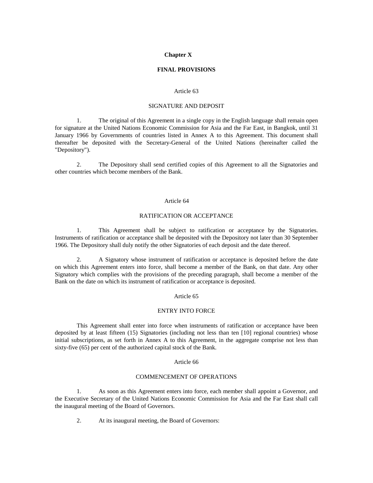#### **Chapter X**

## **FINAL PROVISIONS**

#### Article 63

#### SIGNATURE AND DEPOSIT

 1. The original of this Agreement in a single copy in the English language shall remain open for signature at the United Nations Economic Commission for Asia and the Far East, in Bangkok, until 31 January 1966 by Governments of countries listed in Annex A to this Agreement. This document shall thereafter be deposited with the Secretary-General of the United Nations (hereinafter called the "Depository").

 2. The Depository shall send certified copies of this Agreement to all the Signatories and other countries which become members of the Bank.

#### Article 64

#### RATIFICATION OR ACCEPTANCE

 1. This Agreement shall be subject to ratification or acceptance by the Signatories. Instruments of ratification or acceptance shall be deposited with the Depository not later than 30 September 1966. The Depository shall duly notify the other Signatories of each deposit and the date thereof.

 2. A Signatory whose instrument of ratification or acceptance is deposited before the date on which this Agreement enters into force, shall become a member of the Bank, on that date. Any other Signatory which complies with the provisions of the preceding paragraph, shall become a member of the Bank on the date on which its instrument of ratification or acceptance is deposited.

#### Article 65

#### ENTRY INTO FORCE

 This Agreement shall enter into force when instruments of ratification or acceptance have been deposited by at least fifteen (15) Signatories (including not less than ten [10] regional countries) whose initial subscriptions, as set forth in Annex A to this Agreement, in the aggregate comprise not less than sixty-five (65) per cent of the authorized capital stock of the Bank.

## Article 66

## COMMENCEMENT OF OPERATIONS

 1. As soon as this Agreement enters into force, each member shall appoint a Governor, and the Executive Secretary of the United Nations Economic Commission for Asia and the Far East shall call the inaugural meeting of the Board of Governors.

2. At its inaugural meeting, the Board of Governors: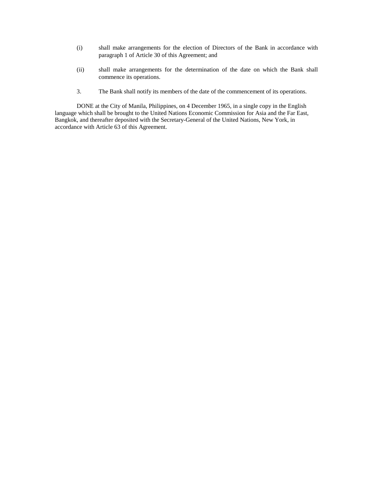- (i) shall make arrangements for the election of Directors of the Bank in accordance with paragraph 1 of Article 30 of this Agreement; and
- (ii) shall make arrangements for the determination of the date on which the Bank shall commence its operations.
- 3. The Bank shall notify its members of the date of the commencement of its operations.

 DONE at the City of Manila, Philippines, on 4 December 1965, in a single copy in the English language which shall be brought to the United Nations Economic Commission for Asia and the Far East, Bangkok, and thereafter deposited with the Secretary-General of the United Nations, New York, in accordance with Article 63 of this Agreement.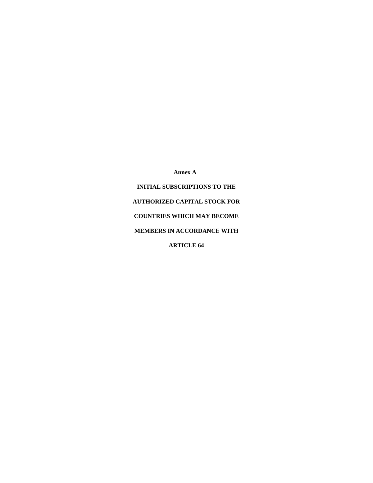**Annex A** 

**INITIAL SUBSCRIPTIONS TO THE AUTHORIZED CAPITAL STOCK FOR COUNTRIES WHICH MAY BECOME MEMBERS IN ACCORDANCE WITH ARTICLE 64**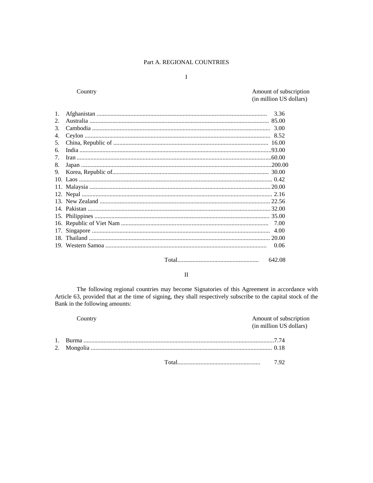## Part A. REGIONAL COUNTRIES

 $\mathbf I$ 

## Country

Amount of subscription (in million US dollars)

| $\mathbf{1}$ .                   |        |
|----------------------------------|--------|
| 2.                               |        |
| 3.                               |        |
| 4.                               |        |
| 5.                               |        |
| 6.                               |        |
| $7_{\scriptscriptstyle{\ddots}}$ |        |
| 8.                               |        |
| 9.                               |        |
|                                  |        |
|                                  |        |
|                                  |        |
|                                  |        |
|                                  |        |
|                                  |        |
|                                  |        |
|                                  |        |
|                                  |        |
|                                  | 0.06   |
|                                  | 642.08 |

 $\rm II$ 

The following regional countries may become Signatories of this Agreement in accordance with Article 63, provided that at the time of signing, they shall respectively subscribe to the capital stock of the Bank in the following amounts:

| Country | Amount of subscription<br>(in million US dollars) |
|---------|---------------------------------------------------|
|         |                                                   |
|         |                                                   |
|         |                                                   |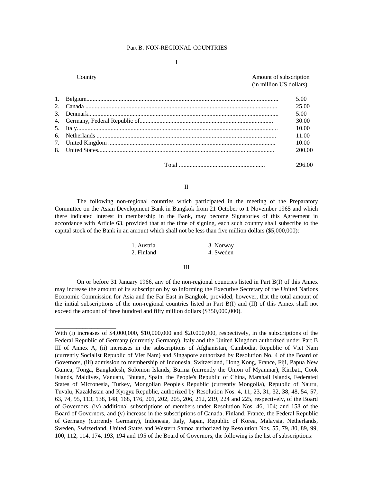#### Part B. NON-REGIONAL COUNTRIES

I

|             | Country                   | Amount of subscription  |        |
|-------------|---------------------------|-------------------------|--------|
|             |                           | (in million US dollars) |        |
|             |                           |                         | 5.00   |
| $2^{\circ}$ |                           |                         | 25.00  |
| 3           |                           |                         | 5.00   |
| 4.          |                           |                         | 30.00  |
| 5.          |                           |                         | 10.00  |
| б.          |                           |                         | 11.00  |
| 7.          |                           |                         | 10.00  |
| 8           |                           |                         | 200.00 |
|             |                           |                         |        |
|             | $\mathbf{m}$ $\mathbf{1}$ |                         | 20000  |

Total ........................................................ 296.00

II

 The following non-regional countries which participated in the meeting of the Preparatory Committee on the Asian Development Bank in Bangkok from 21 October to 1 November 1965 and which there indicated interest in membership in the Bank, may become Signatories of this Agreement in accordance with Article 63, provided that at the time of signing, each such country shall subscribe to the capital stock of the Bank in an amount which shall not be less than five million dollars (\$5,000,000):

| 1. Austria | 3. Norway |
|------------|-----------|
| 2. Finland | 4. Sweden |

#### III

 On or before 31 January 1966, any of the non-regional countries listed in Part B(I) of this Annex may increase the amount of its subscription by so informing the Executive Secretary of the United Nations Economic Commission for Asia and the Far East in Bangkok, provided, however, that the total amount of the initial subscriptions of the non-regional countries listed in Part B(I) and (II) of this Annex shall not exceed the amount of three hundred and fifty million dollars (\$350,000,000).

\_\_\_\_\_\_\_\_\_\_\_\_\_\_\_\_\_\_\_\_

With (i) increases of \$4,000,000, \$10,000,000 and \$20,000,000, respectively, in the subscriptions of the Federal Republic of Germany (currently Germany), Italy and the United Kingdom authorized under Part B III of Annex A, (ii) increases in the subscriptions of Afghanistan, Cambodia, Republic of Viet Nam (currently Socialist Republic of Viet Nam) and Singapore authorized by Resolution No. 4 of the Board of Governors, (iii) admission to membership of Indonesia, Switzerland, Hong Kong, France, Fiji, Papua New Guinea, Tonga, Bangladesh, Solomon Islands, Burma (currently the Union of Myanmar), Kiribati, Cook Islands, Maldives, Vanuatu, Bhutan, Spain, the People's Republic of China, Marshall Islands, Federated States of Micronesia, Turkey, Mongolian People's Republic (currently Mongolia), Republic of Nauru, Tuvalu, Kazakhstan and Kyrgyz Republic, authorized by Resolution Nos. 4, 11, 23, 31, 32, 38, 48, 54, 57, 63, 74, 95, 113, 138, 148, 168, 176, 201, 202, 205, 206, 212, 219, 224 and 225, respectively, of the Board of Governors, (iv) additional subscriptions of members under Resolution Nos. 46, 104; and 158 of the Board of Governors, and (v) increase in the subscriptions of Canada, Finland, France, the Federal Republic of Germany (currently Germany), Indonesia, Italy, Japan, Republic of Korea, Malaysia, Netherlands, Sweden, Switzerland, United States and Western Samoa authorized by Resolution Nos. 55, 79, 80, 89, 99, 100, 112, 114, 174, 193, 194 and 195 of the Board of Governors, the following is the list of subscriptions: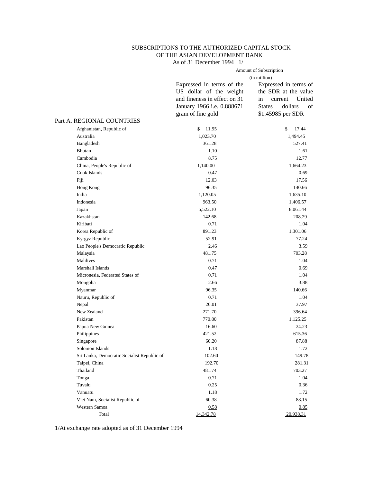## SUBSCRIPTIONS TO THE AUTHORIZED CAPITAL STOCK OF THE ASIAN DEVELOPMENT BANK

As of 31 December 1994 1/

Amount of Subscription

#### (in million)

|                                             | Expressed in terms of the    | Expressed in terms of          |
|---------------------------------------------|------------------------------|--------------------------------|
|                                             | US dollar of the weight      | the SDR at the value           |
|                                             | and fineness in effect on 31 | in<br>United<br>current        |
|                                             | January 1966 i.e. 0.888671   | dollars<br><b>States</b><br>of |
|                                             | gram of fine gold            | \$1.45985 per SDR              |
| Part A. REGIONAL COUNTRIES                  |                              |                                |
| Afghanistan, Republic of                    | 11.95<br>\$                  | \$<br>17.44                    |
| Australia                                   | 1,023.70                     | 1,494.45                       |
| Bangladesh                                  | 361.28                       | 527.41                         |
| Bhutan                                      | 1.10                         | 1.61                           |
| Cambodia                                    | 8.75                         | 12.77                          |
| China, People's Republic of                 | 1,140.00                     | 1,664.23                       |
| Cook Islands                                | 0.47                         | 0.69                           |
| Fiji                                        | 12.03                        | 17.56                          |
| Hong Kong                                   | 96.35                        | 140.66                         |
| India                                       | 1,120.05                     | 1,635.10                       |
| Indonesia                                   | 963.50                       | 1,406.57                       |
| Japan                                       | 5,522.10                     | 8,061.44                       |
| Kazakhstan                                  | 142.68                       | 208.29                         |
| Kiribati                                    | 0.71                         | 1.04                           |
| Korea Republic of                           | 891.23                       | 1,301.06                       |
| Kyrgyz Republic                             | 52.91                        | 77.24                          |
| Lao People's Democratic Republic            | 2.46                         | 3.59                           |
| Malaysia                                    | 481.75                       | 703.28                         |
| Maldives                                    | 0.71                         | 1.04                           |
| Marshall Islands                            | 0.47                         | 0.69                           |
| Micronesia, Federated States of             | 0.71                         | 1.04                           |
| Mongolia                                    | 2.66                         | 3.88                           |
| Myanmar                                     | 96.35                        | 140.66                         |
| Nauru, Republic of                          | 0.71                         | 1.04                           |
| Nepal                                       | 26.01                        | 37.97                          |
| New Zealand                                 | 271.70                       | 396.64                         |
| Pakistan                                    | 770.80                       | 1,125.25                       |
| Papua New Guinea                            | 16.60                        | 24.23                          |
| Philippines                                 | 421.52                       | 615.36                         |
| Singapore                                   | 60.20                        | 87.88                          |
| Solomon Islands                             | 1.18                         | 1.72                           |
| Sri Lanka, Democratic Socialist Republic of | 102.60                       | 149.78                         |
| Taipei, China                               | 192.70                       | 281.31                         |
| Thailand                                    | 481.74                       | 703.27                         |
| Tonga                                       | 0.71                         | 1.04                           |
| Tuvalu                                      | 0.25                         | 0.36                           |
| Vanuatu                                     | 1.18                         | 1.72                           |
| Viet Nam, Socialist Republic of             | 60.38                        | 88.15                          |
| Western Samoa                               | 0.58                         | 0.85                           |

Total 14,342.78 20,938.31

1/At exchange rate adopted as of 31 December 1994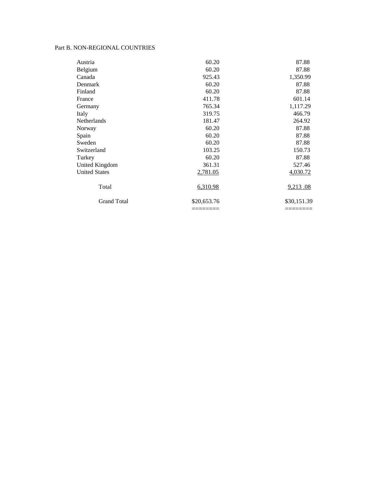## Part B. NON-REGIONAL COUNTRIES

| Austria              | 60.20       | 87.88       |
|----------------------|-------------|-------------|
| Belgium              | 60.20       | 87.88       |
| Canada               | 925.43      | 1,350.99    |
| Denmark              | 60.20       | 87.88       |
| Finland              | 60.20       | 87.88       |
| France               | 411.78      | 601.14      |
| Germany              | 765.34      | 1,117.29    |
| Italy                | 319.75      | 466.79      |
| <b>Netherlands</b>   | 181.47      | 264.92      |
| Norway               | 60.20       | 87.88       |
| Spain                | 60.20       | 87.88       |
| Sweden               | 60.20       | 87.88       |
| Switzerland          | 103.25      | 150.73      |
| Turkey               | 60.20       | 87.88       |
| United Kingdom       | 361.31      | 527.46      |
| <b>United States</b> | 2,781.05    | 4,030.72    |
| Total                | 6,310.98    | 9,213.08    |
| <b>Grand Total</b>   | \$20,653.76 | \$30,151.39 |
|                      | ========    |             |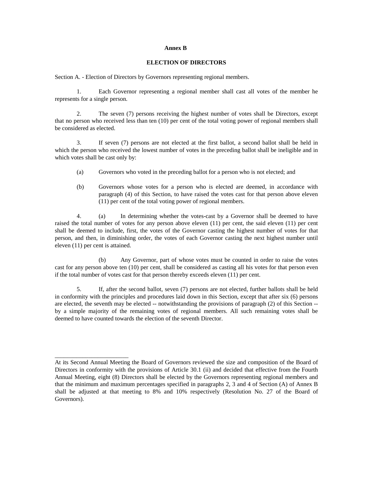#### **Annex B**

#### **ELECTION OF DIRECTORS**

Section A. - Election of Directors by Governors representing regional members.

 1. Each Governor representing a regional member shall cast all votes of the member he represents for a single person.

 2. The seven (7) persons receiving the highest number of votes shall be Directors, except that no person who received less than ten (10) per cent of the total voting power of regional members shall be considered as elected.

 3. If seven (7) persons are not elected at the first ballot, a second ballot shall be held in which the person who received the lowest number of votes in the preceding ballot shall be ineligible and in which votes shall be cast only by:

- (a) Governors who voted in the preceding ballot for a person who is not elected; and
- (b) Governors whose votes for a person who is elected are deemed, in accordance with paragraph (4) of this Section, to have raised the votes cast for that person above eleven (11) per cent of the total voting power of regional members.

 4. (a) In determining whether the votes-cast by a Governor shall be deemed to have raised the total number of votes for any person above eleven (11) per cent, the said eleven (11) per cent shall be deemed to include, first, the votes of the Governor casting the highest number of votes for that person, and then, in diminishing order, the votes of each Governor casting the next highest number until eleven (11) per cent is attained.

 (b) Any Governor, part of whose votes must be counted in order to raise the votes cast for any person above ten (10) per cent, shall be considered as casting all his votes for that person even if the total number of votes cast for that person thereby exceeds eleven (11) per cent.

 5. If, after the second ballot, seven (7) persons are not elected, further ballots shall be held in conformity with the principles and procedures laid down in this Section, except that after six (6) persons are elected, the seventh may be elected -- notwithstanding the provisions of paragraph (2) of this Section - by a simple majority of the remaining votes of regional members. All such remaining votes shall be deemed to have counted towards the election of the seventh Director.

\_\_\_\_\_\_\_\_\_\_\_\_\_\_\_\_\_\_\_\_\_\_\_\_

At its Second Annual Meeting the Board of Governors reviewed the size and composition of the Board of Directors in conformity with the provisions of Article 30.1 (ii) and decided that effective from the Fourth Annual Meeting, eight (8) Directors shall be elected by the Governors representing regional members and that the minimum and maximum percentages specified in paragraphs 2, 3 and 4 of Section (A) of Annex B shall be adjusted at that meeting to 8% and 10% respectively (Resolution No. 27 of the Board of Governors).